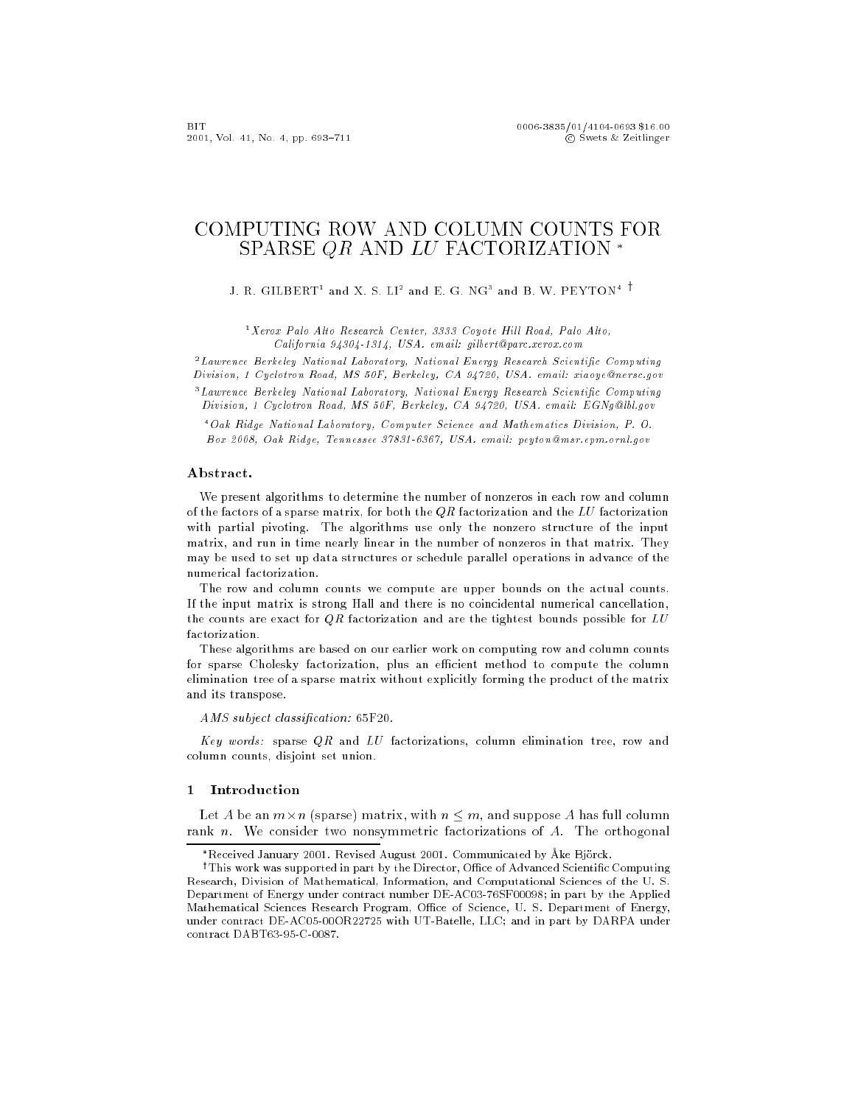# COMPUTING ROW AND COLUMN COUNTS FOR SPARSE QR AND LU FACTORIZATION \*

J. R. GILBERT and X. S. LI<sup>2</sup> and E. G. NG° and B. W. PEYTON<sup>4</sup> '

 $1 X$ erox Palo Alto Research Center, 3333 Coyote Hill Road, Palo Alto, California 94304-1314, USA. email: gilbert@parc.xerox.com

<sup>2</sup> Lawrence Berkeley National Laboratory, National Energy Research Scientific Computing Division, 1 Cyclotron Road, MS 50F, Berkeley, CA 94720, USA. email: xiaoye@nersc.gov

"Lawrence Berkeley Ivational Laboratory, Ivational Energy Research Scientific Computing Division, 1 Cyclotron Road, MS 50F, Berkeley, CA 94720, USA. email: EGNg@lbl.gov

<sup>4</sup>Oak Ridge National Laboratory, Computer Science and Mathematics Division, P. O. Box 2008, Oak Ridge, Tennessee 37831-6367, USA. email: peyton@msr.epm.ornl.gov

# Abstract.

We present algorithms to determine the number of nonzeros in each row and column of the factors of a sparse matrix, for both the  $QR$  factorization and the LU factorization with partial pivoting. The algorithms use only the nonzero structure of the input matrix, and run in time nearly linear in the number of nonzeros in that matrix. They may be used to set up data stru
tures or s
hedule parallel operations in advan
e of the numeri
al fa
torization.

The row and column counts we compute are upper bounds on the actual counts. If the input matrix is strong Hall and there is no coincidental numerical cancellation, the counts are exact for  $QR$  factorization and are the tightest bounds possible for  $LU$ 

These algorithms are based on our earlier work on computing row and column counts for sparse Cholesky factorization, plus an efficient method to compute the column elimination tree of a sparse matrix without explicitly forming the product of the matrix and its transpose.

AMS subject classification: 65F20.

Key words: sparse  $QR$  and LU factorizations, column elimination tree, row and olumn 
ounts, disjoint set union.

# 1 Introdu
tion

Let A be an  $m \times n$  (sparse) matrix, with  $n \leq m$ , and suppose A has full column rank *n*. We consider two nonsymmetric factorizations of A. The orthogonal

<sup>\*</sup>Received January 2001. Revised August 2001. Communicated by Åke Björck.

<sup>&</sup>lt;sup>†</sup>This work was supported in part by the Director, Office of Advanced Scientific Computing Resear
h, Division of Mathemati
al, Information, and Computational S
ien
es of the U. S. Department of Energy under contract number DE-AC03-76SF00098; in part by the Applied Mathematical Sciences Research Program, Office of Science, U.S. Department of Energy, under 
ontra
t DE-AC05-00OR22725 with UT-Batelle, LLC; and in part by DARPA under contract DABT63-95-C-0087.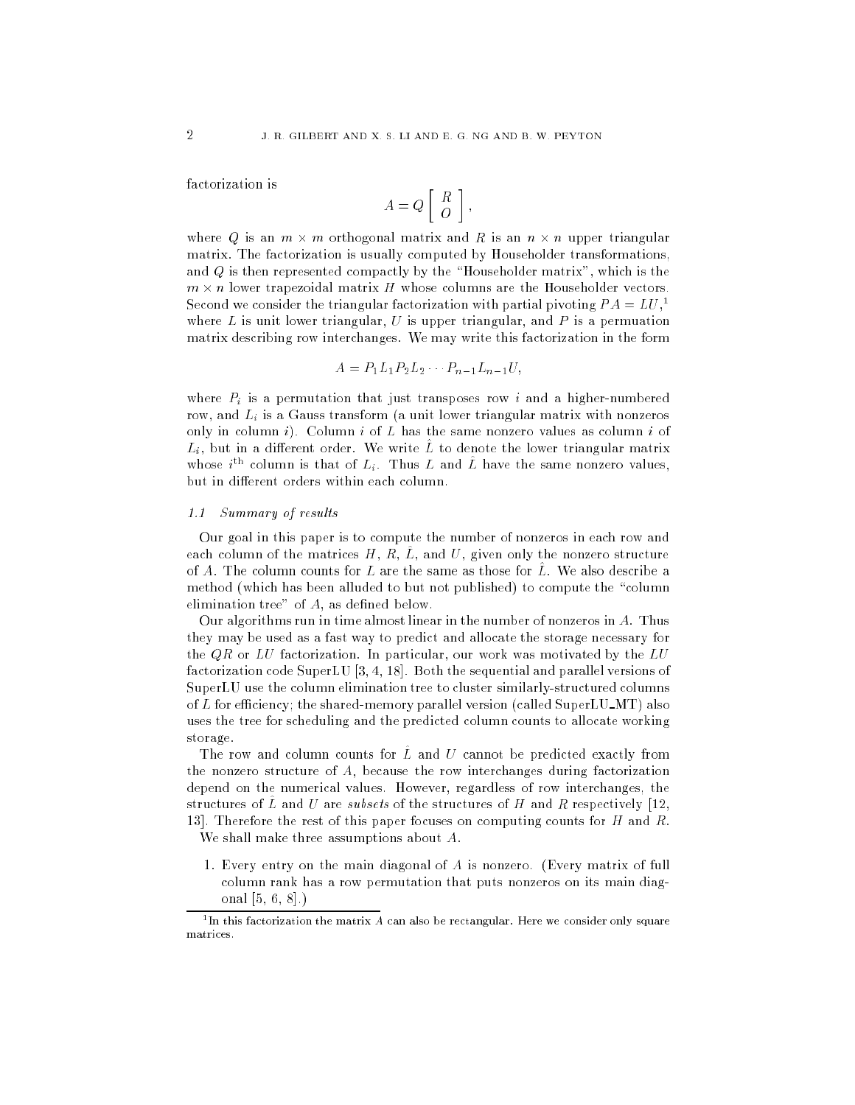factorization is

$$
A = Q \left[ \begin{array}{c} R \\ O \end{array} \right],
$$

where Q is an  $m \times m$  orthogonal matrix and R is an  $n \times n$  upper triangular matrix. The fa
torization is usually 
omputed by Householder transformations, and  $Q$  is then represented compactly by the "Householder matrix", which is the  $m \times n$  lower trapezoidal matrix H whose columns are the Householder vectors. Second we consider the triangular factorization with partial pivoting  $PA = LU^{-1}$ where  $L$  is unit lower triangular,  $U$  is upper triangular, and  $P$  is a permuation matrix des
ribing row inter
hanges. We may write this fa
torization in the form

$$
A = P_1 L_1 P_2 L_2 \cdots P_{n-1} L_{n-1} U,
$$

where  $P_i$  is a permutation that just transposes row i and a higher-numbered row, and  $L_i$  is a Gauss transform (a unit lower triangular matrix with nonzeros only in column i). Column i of  $L$  has the same nonzero values as column i of  $L_i$ , but in a different order. We write  $\hat{L}$  to denote the lower triangular matrix whose  $i<sup>tn</sup>$  column is that of  $L<sub>i</sub>$ . Thus L and L have the same nonzero values, but in different orders within each column.

# 1.1 Summary of results

Our goal in this paper is to 
ompute the number of nonzeros in ea
h row and each column of the matrices H, R,  $\hat{L}$ , and U, given only the nonzero structure of A. The column counts for L are the same as those for  $\tilde{L}$ . We also describe a method (which has been alluded to but not published) to compute the "column elimination tree" of  $A$ , as defined below.

Our algorithms run in time almost linear in the number of nonzeros in A. Thus they may be used as a fast way to predict and allocate the storage necessary for the  $QR$  or LU factorization. In particular, our work was motivated by the LU factorization code SuperLU  $[3, 4, 18]$ . Both the sequential and parallel versions of SuperLU use the column elimination tree to cluster similarly-structured columns of L for efficiency; the shared-memory parallel version (called SuperLU\_MT) also uses the tree for scheduling and the predicted column counts to allocate working storage.

The row and column counts for L and U cannot be predicted exactly from the nonzero structure of  $A$ , because the row interchanges during factorization depend on the numerical values. However, regardless of row interchanges, the structures of  $\hat{L}$  and U are *subsets* of the structures of H and R respectively [12, 13. Therefore the rest of this paper focuses on computing counts for H and R.

We shall make three assumptions about A.

1. Every entry on the main diagonal of A is nonzero. (Every matrix of full olumn rank has a row permutation that puts nonzeros on its main diagonal  $[5, 6, 8]$ .)

 $^1$ In this factorization the matrix A can also be rectangular. Here we consider only square matrices.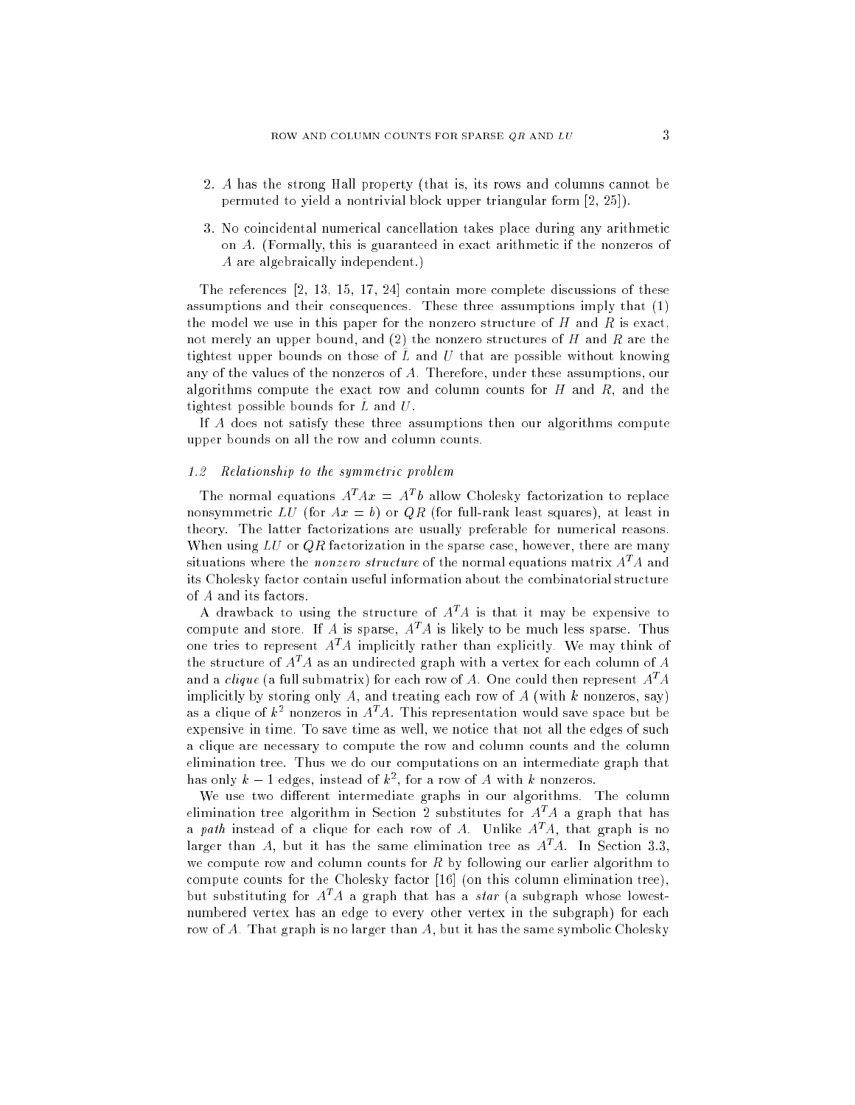- 2. A has the strong Hall property (that is, its rows and 
olumns 
annot be permuted to yield a nontrivial block upper triangular form  $[2, 25]$ ).
- 3. No coincidental numerical cancellation takes place during any arithmetic on A. (Formally, this is guaranteed in exact arithmetic if the nonzeros of A are algebraically independent.)

The references  $[2, 13, 15, 17, 24]$  contain more complete discussions of these assumptions and their onsequen
es. These three assumptions imply that (1) the model we use in this paper for the nonzero structure of  $H$  and  $R$  is exact, not merely an upper bound, and (2) the nonzero structures of H and R are the tightest upper bounds on those of  $L^{\circ}$  and  $U$  that are possible without knowing any of the values of the nonzeros of A. Therefore, under these assumptions, our algorithms compute the exact row and column counts for  $H$  and  $R$ , and the tightest possible bounds for  $L$  and  $U$ .

If A does not satisfy these three assumptions then our algorithms compute upper bounds on all the row and column counts.

#### $1.2$ Relationship to the symmetric problem

The normal equations  $A^T A x = A^T b$  allow Cholesky factorization to replace nonsymmetric LU (for  $Ax = b$ ) or QR (for full-rank least squares), at least in theory. The latter factorizations are usually preferable for numerical reasons. When using  $LU$  or  $QR$  factorization in the sparse case, however, there are many situations where the *nonzero structure* of the normal equations matrix  $A<sup>T</sup>A$  and its Cholesky factor contain useful information about the combinatorial structure of A and its fa
tors.

A drawback to using the structure of  $A<sup>T</sup>A$  is that it may be expensive to compute and store. If A is sparse,  $A<sup>T</sup>A$  is likely to be much less sparse. Thus one tries to represent  $A<sup>T</sup>A$  implicitly rather than explicitly. We may think of the structure of  $A<sup>T</sup>A$  as an undirected graph with a vertex for each column of A and a *clique* (a full submatrix) for each row of A. One could then represent  $A<sup>T</sup>A$ implicitly by storing only A, and treating each row of A (with k nonzeros, say) as a clique of  $k^2$  nonzeros in  $A^T\!A$ . This representation would save space but be expensive in time. To save time as well, we notice that not all the edges of such a clique are necessary to compute the row and column counts and the column elimination tree. Thus we do our computations on an intermediate graph that has only  $k-1$  edges, instead of  $k^2$ , for a row of A with k nonzeros.

We use two different intermediate graphs in our algorithms. The column elimination tree algorithm in Section 2 substitutes for  $A<sup>T</sup>A$  a graph that has a path instead of a clique for each row of A. Unlike  $A<sup>T</sup>A$ , that graph is no larger than A, but it has the same elimination tree as  $A<sup>T</sup>A$ . In Section 3.3, we compute row and column counts for  $R$  by following our earlier algorithm to compute counts for the Cholesky factor [16] (on this column elimination tree), but substituting for  $A<sup>T</sup>A$  a graph that has a *star* (a subgraph whose lowestnumbered vertex has an edge to every other vertex in the subgraph) for ea
h row of A. That graph is no larger than A, but it has the same symbolic Cholesky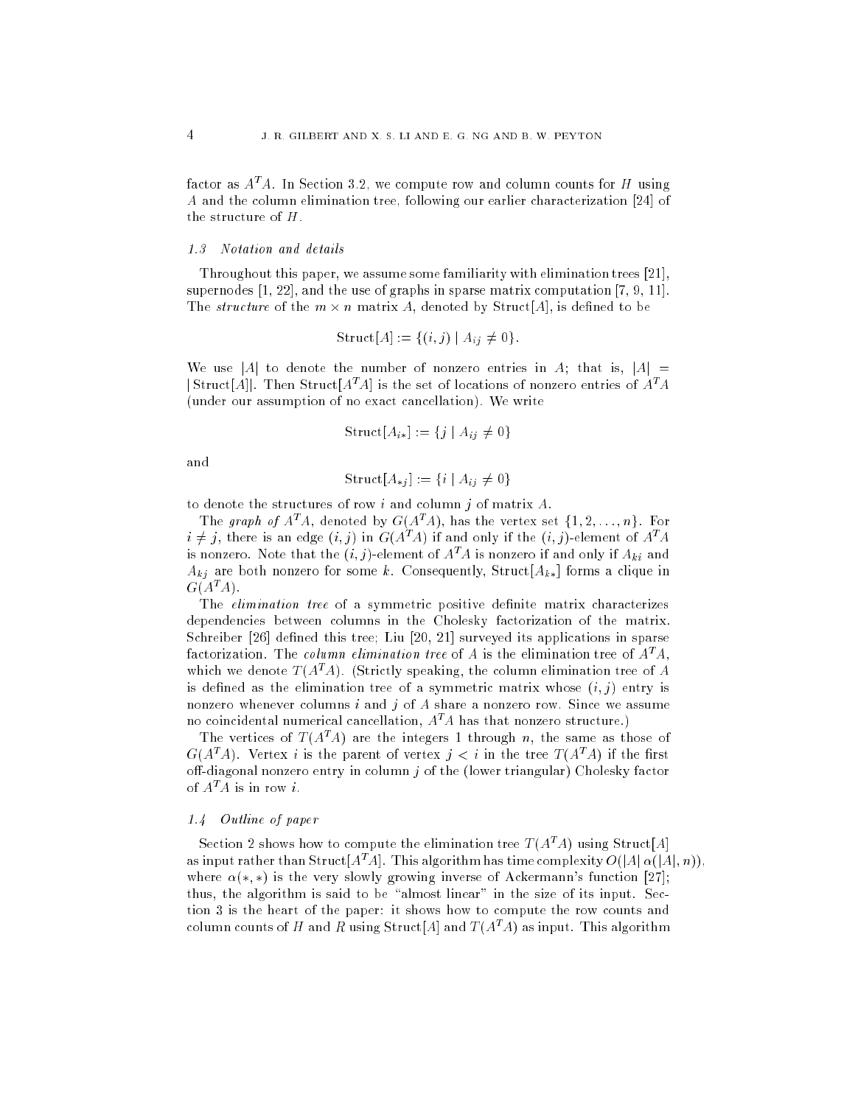factor as  $A^T A$ . In Section 3.2, we compute row and column counts for H using A and the column elimination tree, following our earlier characterization [24] of the structure of  $H$ .

Throughout this paper, we assume some familiarity with elimination trees  $[21]$ , supernodes  $[1, 22]$ , and the use of graphs in sparse matrix computation  $[7, 9, 11]$ . The *structure* of the  $m \times n$  matrix A, denoted by Struct[A], is defined to be

$$
Struct[A] := \{(i, j) \mid A_{ij} \neq 0\}.
$$

We use |A| to denote the number of nonzero entries in A; that is,  $|A|$  =  $|\text{Struct}[A]|$ . Then Struct $[A^T A]$  is the set of locations of nonzero entries of  $A^T A$ (under our assumption of no exact cancellation). We write

$$
Struct[A_{i*}] := \{ j \mid A_{ij} \neq 0 \}
$$

and

$$
Struct[A_{*j}] := \{i \mid A_{ij} \neq 0\}
$$

to denote the structures of row i and column j of matrix  $A$ .

The graph of  $A^T A$ , denoted by  $G(A^T A)$ , has the vertex set  $\{1, 2, \ldots, n\}$ . For  $i \neq j$ , there is an edge  $(i, j)$  in  $G(A<sup>T</sup>A)$  if and only if the  $(i, j)$ -element of  $A<sup>T</sup>A$ is nonzero. Note that the  $(i, j)$ -element of  $A<sup>T</sup>A$  is nonzero if and only if  $A_{ki}$  and  $A_{ki}$  are both nonzero for some k. Consequently, Struct  $[A_{k*}]$  forms a clique in  $G(A^T A)$ .

The *elimination tree* of a symmetric positive definite matrix characterizes dependencies between columns in the Cholesky factorization of the matrix. Schreiber [26] defined this tree; Liu [20, 21] surveyed its applications in sparse factorization. The column elimination tree of A is the elimination tree of  $A<sup>T</sup>A$ , which we denote  $T(A^T A)$ . (Strictly speaking, the column elimination tree of A is defined as the elimination tree of a symmetric matrix whose  $(i, j)$  entry is nonzero whenever columns  $i$  and  $j$  of  $A$  share a nonzero row. Since we assume no coincidental numerical cancellation,  $A<sup>T</sup>A$  has that nonzero structure.)

The vertices of  $T(A^T A)$  are the integers 1 through n, the same as those of  $G(A^TA)$ . Vertex *i* is the parent of vertex  $j < i$  in the tree  $T(A^TA)$  if the first off-diagonal nonzero entry in column  $j$  of the (lower triangular) Cholesky factor of  $A^T A$  is in row *i*.

# 1.4 Outline of paper

Section 2 shows how to compute the elimination tree  $T(A^T A)$  using Struct[A] as input rather than Struct [ $A^T A$ ]. This algorithm has time complexity  $O(|A| \alpha(|A|, n))$ , where  $\alpha(*,*)$  is the very slowly growing inverse of Ackermann's function [27]; thus, the algorithm is said to be "almost linear" in the size of its input. Section 3 is the heart of the paper: it shows how to 
ompute the row 
ounts and column counts of H and R using Struct[A] and  $T(A^T A)$  as input. This algorithm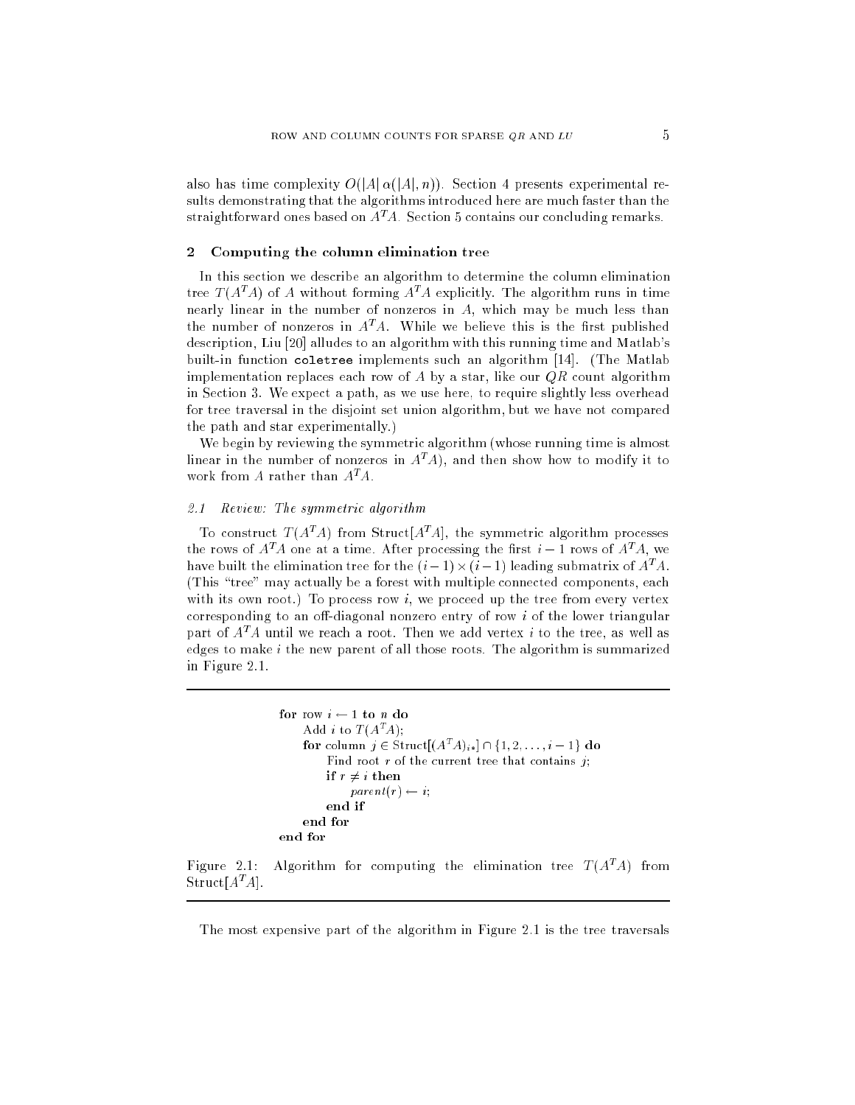also has time complexity  $O(|A| \alpha(|A|, n))$ . Section 4 presents experimental results demonstrating that the algorithms introdu
ed here are mu
h faster than the straightforward ones based on  $A<sup>T</sup>A$ . Section 5 contains our concluding remarks.

#### Computing the column elimination tree  $\overline{2}$

In this section we describe an algorithm to determine the column elimination tree  $T(A^T A)$  of A without forming  $A^T A$  explicitly. The algorithm runs in time nearly linear in the number of nonzeros in A, whi
h may be mu
h less than the number of nonzeros in  $A<sup>T</sup>A$ . While we believe this is the first published description, Liu [20] alludes to an algorithm with this running time and Matlab's built-in function coletree implements such an algorithm [14]. (The Matlab implementation replaces each row of A by a star, like our  $QR$  count algorithm in Se
tion 3. We expe
t a path, as we use here, to require slightly less overhead for tree traversal in the disjoint set union algorithm, but we have not compared the path and star experimentally.)

We begin by reviewing the symmetric algorithm (whose running time is almost linear in the number of nonzeros in  $A<sup>T</sup>A$ ), and then show how to modify it to work from A rather than  $A^T A$ .

# 2.1 Review: The symmetric algorithm

To construct  $T(A^T A)$  from Struct  $[A^T A]$ , the symmetric algorithm processes the rows of  $A<sup>T</sup>A$  one at a time. After processing the first  $i-1$  rows of  $A<sup>T</sup>A$ , we have built the elimination tree for the  $(i-1) \times (i-1)$  leading submatrix of  $A^T A$ . (This "tree" may actually be a forest with multiple connected components, each with its own root.) To process row  $i$ , we proceed up the tree from every vertex corresponding to an off-diagonal nonzero entry of row  $i$  of the lower triangular part of  $A<sup>T</sup>A$  until we reach a root. Then we add vertex *i* to the tree, as well as edges to make  $i$  the new parent of all those roots. The algorithm is summarized in Figure 2.1.

```
for row i \leftarrow 1 to n do
     Add i to T(A^T A):
     for column j \in \text{Struct}[(A^*A)_{i*}] \cap \{1, 2, \ldots, i-1\} do
          Find root r of the current tree that contains j;
         if r \neq i then
               parent(r) \leftarrow i;end if
    end for
end for
```
Figure 2.1: Algorithm for computing the elimination tree  $T(A^T A)$  from  $\operatorname{Struct}[A^{\textit{t}}A]$  .

The most expensive part of the algorithm in Figure 2.1 is the tree traversals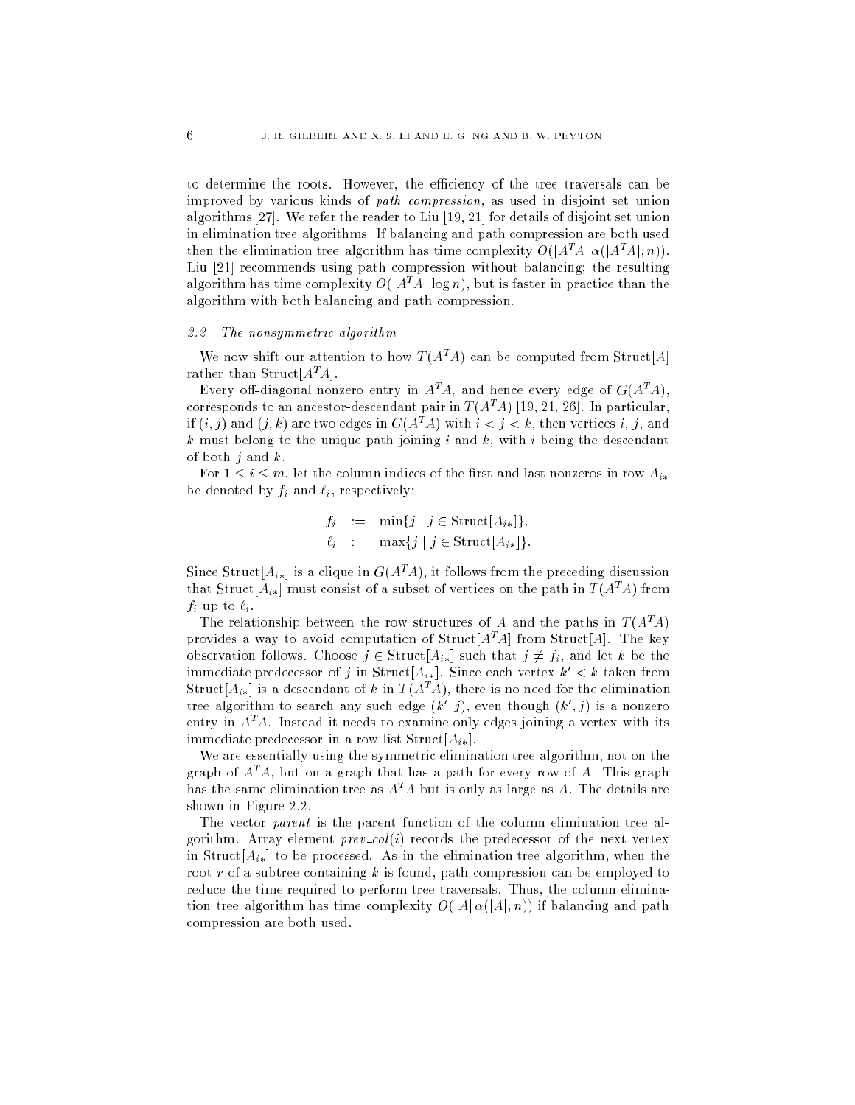to determine the roots. However, the efficiency of the tree traversals can be improved by various kinds of *path compression*, as used in disjoint set union algorithms [27]. We refer the reader to Liu  $[19, 21]$  for details of disjoint set union in elimination tree algorithms. If balan
ing and path 
ompression are both used then the elimination tree algorithm has time complexity  $O(|A^T A| \alpha(|A^T A|, n))$ . Liu [21] recommends using path compression without balancing; the resulting algorithm has time complexity  $O(|A^TA| \log n)$ , but is faster in practice than the algorithm with both balan
ing and path 
ompression.

# 2.2 The nonsymmetric algorithm

We now shift our attention to how  $T(A^T A)$  can be computed from Struct[A] rather than Struct  $[A<sup>T</sup>A]$ .

Every off-diagonal nonzero entry in  $A^T A$ , and hence every edge of  $G(A^T A)$ , corresponds to an ancestor-descendant pair in  $T(A^TA)$  [19, 21, 26]. In particular, if  $(i, j)$  and  $(j, k)$  are two edges in  $G(A<sup>T</sup>A)$  with  $i < j < k$ , then vertices i, j, and  $k$  must belong to the unique path joining  $i$  and  $k$ , with  $i$  being the descendant of both  $j$  and  $k$ .

For  $1 \leq i \leq m$ , let the column indices of the first and last nonzeros in row  $A_{i*}$ be denoted by  $f_i$  and  $\ell_i$ , respectively:

$$
f_i := \min\{j \mid j \in \text{Struct}[A_{i*}]\},
$$
  

$$
\ell_i := \max\{j \mid j \in \text{Struct}[A_{i*}]\}.
$$

Since Struct [ $A_{i*}$ ] is a clique in  $G(A^{T}A)$ , it follows from the preceding discussion that Struct  $[A_{i*}]$  must consist of a subset of vertices on the path in  $T(A^{T}A)$  from  $f_i$  up to  $\ell_i$ .

The relationship between the row structures of A and the paths in  $T(A^T A)$ provides a way to avoid computation of  $Struct[<sub>A</sub><sup>T</sup><sub>A</sub>]$  from Struct[A]. The key observation follows. Choose  $j \in \text{Struct}[A_{i*}]$  such that  $j \neq f_i$ , and let k be the immediate predecessor of j in Struct $[A_{i*}]$ . Since each vertex  $k' < k$  taken from Struct  $[A_{ik}]$  is a descendant of k in  $T(A^T A)$ , there is no need for the elimination tree algorithm to search any such edge  $(k', j)$ , even though  $(k', j)$  is a nonzero entry in  $A<sup>T</sup>A$ . Instead it needs to examine only edges joining a vertex with its immediate predecessor in a row list  $Struct[A_{i*}].$ 

We are essentially using the symmetric elimination tree algorithm, not on the graph of  $A<sup>T</sup>A$ , but on a graph that has a path for every row of A. This graph has the same elimination tree as  $A<sup>T</sup>A$  but is only as large as A. The details are shown in Figure 2.2.

The vector *parent* is the parent function of the column elimination tree algorithm. Array element  $prev\_col(i)$  records the predecessor of the next vertex in Struct $[A_{ik}]$  to be processed. As in the elimination tree algorithm, when the root r of a subtree containing k is found, path compression can be employed to reduce the time required to perform tree traversals. Thus, the column elimination tree algorithm has time complexity  $O(|A| \alpha(|A|, n))$  if balancing and path ompression are both used.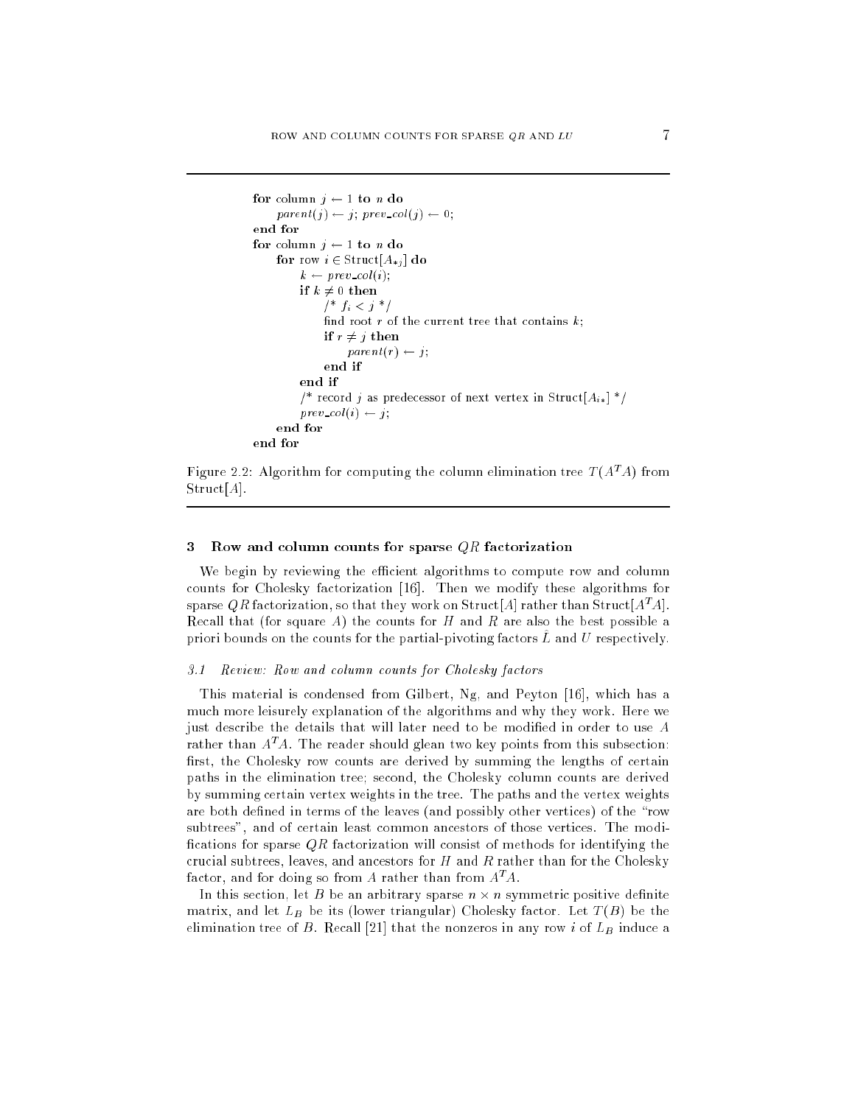```
for column j \leftarrow 1 to n do
     parent(j) \leftarrow j; \ prev\_col(j) \leftarrow 0;end for
for column j \leftarrow 1 to n do
     for row i \in \text{Struct}[A_{*j}] do
          k \leftarrow prev\_col(i);if k \neq 0 then
               /* f_i < j */
               find root r of the current tree that contains k;
               if r \neq j then
                    parent(r) \leftarrow j;end if
          end if
          /* record j as predecessor of next vertex in Struct[A_{i*}] */
          prev\_col(i) \leftarrow j;end for
```


# 3 Row and column counts for sparse  $QR$  factorization

We begin by reviewing the efficient algorithms to compute row and column counts for Cholesky factorization [16]. Then we modify these algorithms for sparse QR factorization, so that they work on Struct[A] rather than Struct[ $A<sup>T</sup>A$ ]. Recall that (for square A) the counts for  $H$  and  $R$  are also the best possible a priori bounds on the counts for the partial-pivoting factors  $L$  and  $U$  respectively.

# 3.1 Review: Row and column counts for Cholesky factors

This material is condensed from Gilbert, Ng, and Peyton [16], which has a mu
h more leisurely explanation of the algorithms and why they work. Here we just describe the details that will later need to be modified in order to use A rather than  $A<sup>T</sup>A$ . The reader should glean two key points from this subsection: first, the Cholesky row counts are derived by summing the lengths of certain paths in the elimination tree; se
ond, the Cholesky 
olumn 
ounts are derived by summing 
ertain vertex weights in the tree. The paths and the vertex weights are both defined in terms of the leaves (and possibly other vertices) of the "row subtrees", and of certain least common ancestors of those vertices. The modifications for sparse  $QR$  factorization will consist of methods for identifying the crucial subtrees, leaves, and ancestors for  $H$  and  $R$  rather than for the Cholesky factor, and for doing so from A rather than from  $A^T A$ .

In this section, let B be an arbitrary sparse  $n \times n$  symmetric positive definite matrix, and let  $L_B$  be its (lower triangular) Cholesky factor. Let  $T(B)$  be the elimination tree of B. Recall [21] that the nonzeros in any row i of  $L_B$  induce a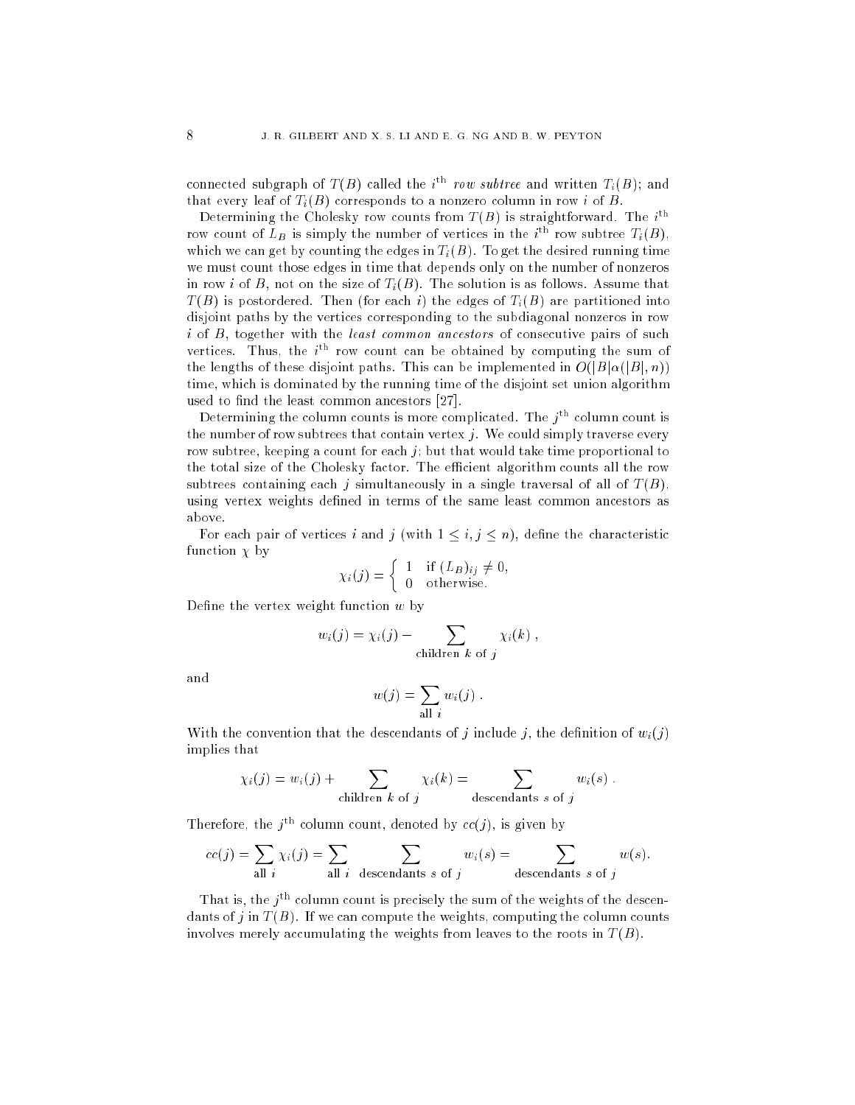connected subgraph of  $T(B)$  called the i<sup>th</sup> row subtree and written  $T_i(B)$ ; and that every leaf of  $T_i(B)$  corresponds to a nonzero column in row i of B.

Determining the Cholesky row counts from  $T(B)$  is straightforward. The  $i^{\text{th}}$ row count of  $L_B$  is simply the number of vertices in the  $i^{tn}$  row subtree  $T_i(B)$ , which we can get by counting the edges in  $T_i(B)$ . To get the desired running time we must 
ount those edges in time that depends only on the number of nonzeros in row i of B, not on the size of  $T_i(B)$ . The solution is as follows. Assume that  $T(B)$  is postordered. Then (for each i) the edges of  $T<sub>i</sub>(B)$  are partitioned into disjoint paths by the verti
es 
orresponding to the subdiagonal nonzeros in row  $i$  of  $B$ , together with the least common ancestors of consecutive pairs of such vertices. Thus, the  $i<sup>th</sup>$  row count can be obtained by computing the sum of the lengths of these disjoint paths. This can be implemented in  $O(|B|\alpha(|B|, n))$ time, which is dominated by the running time of the disjoint set union algorithm used to find the least common ancestors  $[27]$ .

Determining the column counts is more complicated. The  $j<sup>th</sup>$  column count is the number of row subtrees that contain vertex  $j$ . We could simply traverse every row subtree, keeping a count for each  $j$ ; but that would take time proportional to the total size of the Cholesky factor. The efficient algorithm counts all the row subtrees containing each j simultaneously in a single traversal of all of  $T(B)$ , using vertex weights defined in terms of the same least common ancestors as above.

For each pair of vertices i and j (with  $1 \leq i, j \leq n$ ), define the characteristic function  $\chi$  by

$$
\chi_i(j) = \begin{cases} 1 & \text{if } (L_B)_{ij} \neq 0, \\ 0 & \text{otherwise.} \end{cases}
$$

Define the vertex weight function  $w$  by

$$
w_i(j) = \chi_i(j) - \sum_{\text{children } k \text{ of } j} \chi_i(k) ,
$$

and

$$
w(j) = \sum_{\text{all } i} w_i(j) .
$$

With the convention that the descendants of *i* include *i*, the definition of  $w_i(i)$ implies that

$$
\chi_i(j) = w_i(j) + \sum_{\text{children } k \text{ of } j} \chi_i(k) = \sum_{\text{descendants } s \text{ of } j} w_i(s) .
$$

Therefore, the  $j^{\text{th}}$  column count, denoted by  $cc(j)$ , is given by

$$
cc(j) = \sum_{\text{all } i} \chi_i(j) = \sum_{\text{all } i} \sum_{\text{descendants } s \text{ of } j} w_i(s) = \sum_{\text{descendants } s \text{ of } j} w(s).
$$

That is, the  $j<sup>tn</sup>$  column count is precisely the sum of the weights of the descendants of j in  $T(B)$ . If we can compute the weights, computing the column counts involves merely accumulating the weights from leaves to the roots in  $T(B)$ .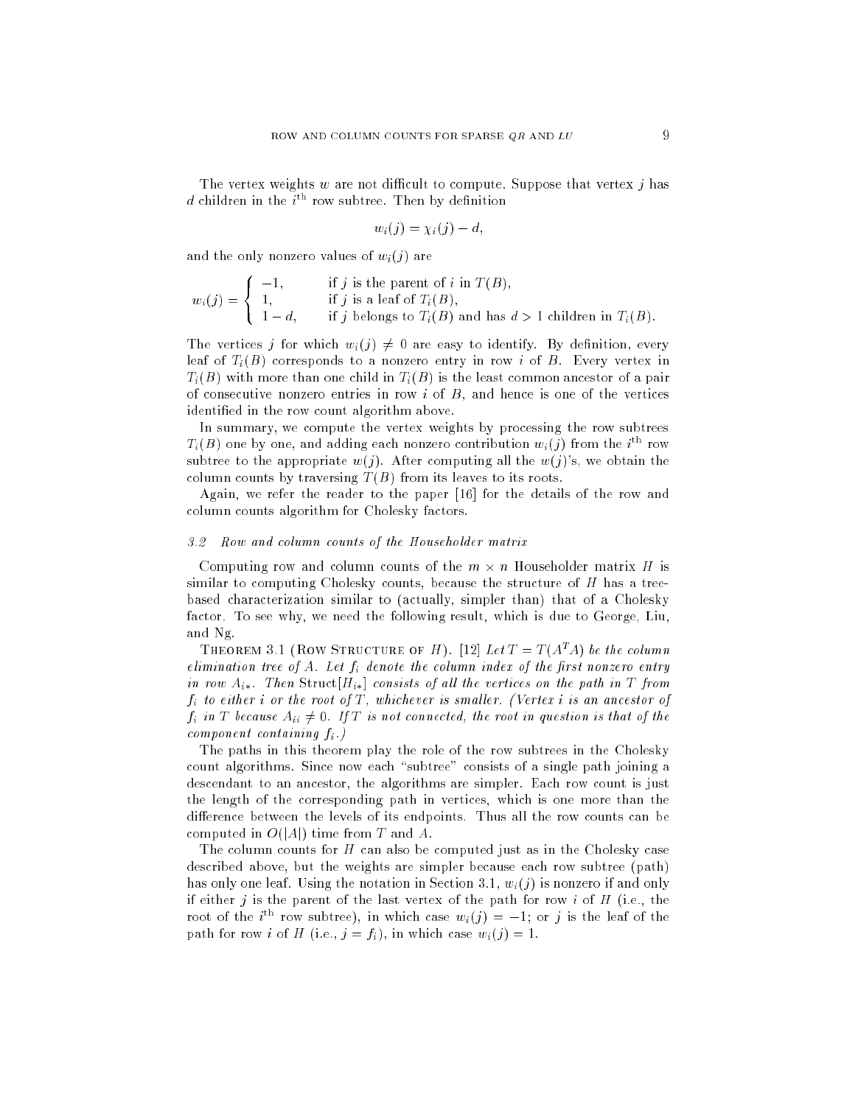The vertex weights  $w$  are not difficult to compute. Suppose that vertex  $j$  has d children in the  $i^{\text{th}}$  row subtree. Then by definition

$$
w_i(j) = \chi_i(j) - d,
$$

and the only nonzero values of  $w_i(j)$  are

$$
w_i(j) = \begin{cases} -1, & \text{if } j \text{ is the parent of } i \text{ in } T(B), \\ 1, & \text{if } j \text{ is a leaf of } T_i(B), \\ 1 - d, & \text{if } j \text{ belongs to } T_i(B) \text{ and has } d > 1 \text{ children in } T_i(B). \end{cases}
$$

The vertices j for which  $w_i(j) \neq 0$  are easy to identify. By definition, every leaf of  $T_i(B)$  corresponds to a nonzero entry in row i of B. Every vertex in  $T_i(B)$  with more than one child in  $T_i(B)$  is the least common ancestor of a pair of consecutive nonzero entries in row  $i$  of  $B$ , and hence is one of the vertices identified in the row count algorithm above.

In summary, we compute the vertex weights by processing the row subtrees  $T_i(B)$  one by one, and adding each nonzero contribution  $w_i(j)$  from the  $i^{\mathrm{th}}$  row subtree to the appropriate  $w(j)$ . After computing all the  $w(j)$ 's, we obtain the column counts by traversing  $T(B)$  from its leaves to its roots.

Again, we refer the reader to the paper  $[16]$  for the details of the row and column counts algorithm for Cholesky factors.

# 3.2 Row and 
olumn 
ounts of the Householder matrix

Computing row and column counts of the  $m \times n$  Householder matrix H is similar to computing Cholesky counts, because the structure of  $H$  has a treebased characterization similar to (actually, simpler than) that of a Cholesky factor. To see why, we need the following result, which is due to George, Liu, and Ng.

THEOREM 3.1 (ROW STRUCTURE OF H). [12] Let  $T = T(A^T A)$  be the column elimination tree of A. Let  $f_i$  denote the column index of the first nonzero entry in row  $A_{i*}$ . Then Struct $[H_{i*}]$  consists of all the vertices on the path in T from  $f_i$  to either i or the root of  $T$ , whichever is smaller. (Vertex i is an ancestor of  $f_i$  in T because  $A_{ii} \neq 0$ . If T is not connected, the root in question is that of the  $component\ containing\ f_i$ .)

The paths in this theorem play the role of the row subtrees in the Cholesky count algorithms. Since now each "subtree" consists of a single path joining a descendant to an ancestor, the algorithms are simpler. Each row count is just the length of the orresponding path in verti
es, whi
h is one more than the difference between the levels of its endpoints. Thus all the row counts can be computed in  $O(|A|)$  time from T and A.

The column counts for  $H$  can also be computed just as in the Cholesky case described above, but the weights are simpler because each row subtree (path) has only one leaf. Using the notation in Section 3.1,  $w_i(j)$  is nonzero if and only if either  $j$  is the parent of the last vertex of the path for row  $i$  of  $H$  (i.e., the root of the *i*<sup>th</sup> row subtree), in which case  $w_i(j) = -1$ ; or j is the leaf of the path for row *i* of *H* (i.e.,  $j = f_i$ ), in which case  $w_i(j) = 1$ .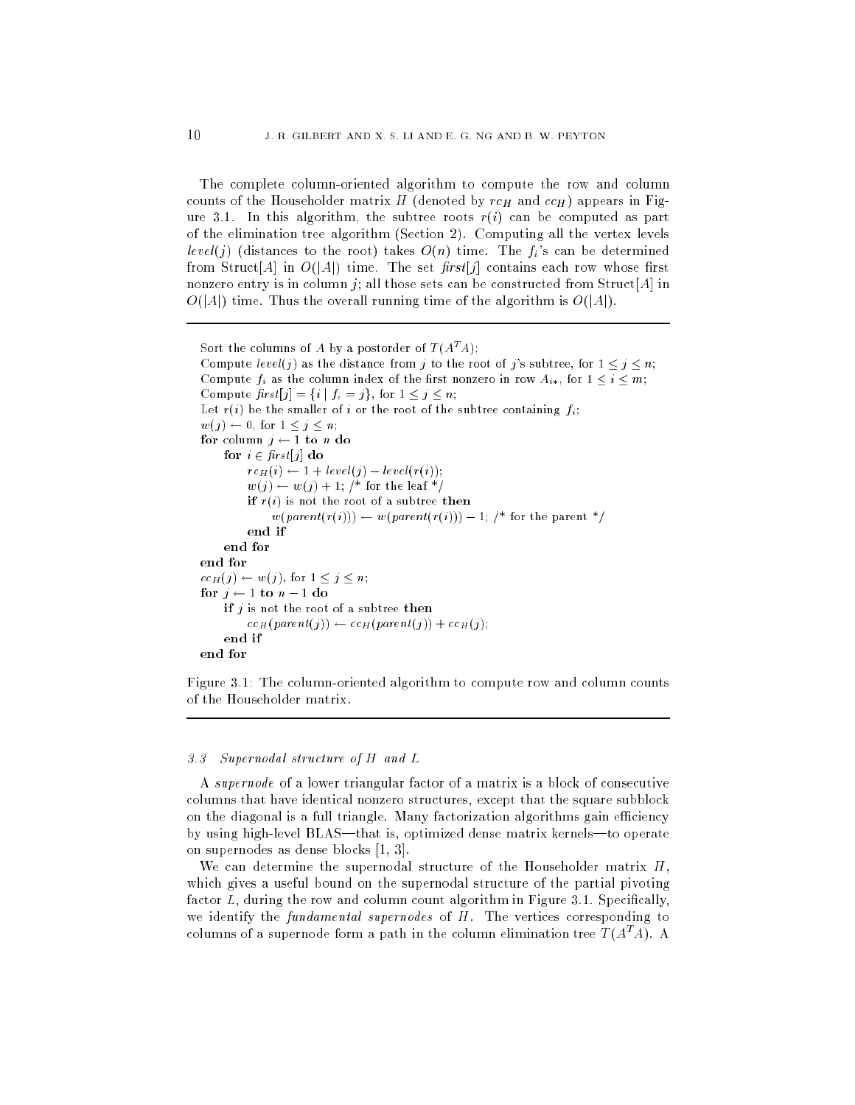The complete column-oriented algorithm to compute the row and column counts of the Householder matrix H (denoted by  $rc_H$  and  $cc_H$ ) appears in Figure 3.1. In this algorithm, the subtree roots  $r(i)$  can be computed as part of the elimination tree algorithm (Se
tion 2). Computing all the vertex levels level(j) (distances to the root) takes  $O(n)$  time. The  $f_i$ 's can be determined from Struct[A] in  $O(|A|)$  time. The set first[j] contains each row whose first nonzero entry is in column j; all those sets can be constructed from Struct[A] in  $O(|A|)$  time. Thus the overall running time of the algorithm is  $O(|A|)$ .

```
Sort the columns of A by a postorder of T(A^{\mu}A):
Compute level(j) as the distance from j to the root of j's subtree, for 1 \leq j \leq n;
Compute f_i as the column index of the first nonzero in row A_{i*}, for 1 \leq i \leq m;
Compute first[j] = \{i \mid f_i = j\}, for 1 \leq j \leq n;
Let r(i) be the smaller of i or the root of the subtree containing f_i;
w(j) \leftarrow 0, for 1 \leq j \leq n;
for column j \leftarrow 1 to n do
    for i \in first[j] do
         rc_H(i) \leftarrow 1 + level(j) - level(r(i));w(j) \leftarrow w(j) + 1; /* for the leaf */
         if r(i) is not the root of a subtree then
               w(\text{parent}(r(i))) \leftarrow w(\text{parent}(r(i))) - 1; /* for the parent */
         end if
          end if
     end for
end for
cc_H(j) \leftarrow w(j), for 1 \leq j \leq n;
for j \leftarrow 1 to n - 1 do
    if j is not the root of a subtree then
          cc_H(parent(j)) \leftarrow cc_H(parent(j)) + cc_H(j);end if
end for
```
Figure 3.1: The column-oriented algorithm to compute row and column counts of the Householder matrix.

# 3.3 Supernodal stru
ture of H and L

A supernode of a lower triangular factor of a matrix is a block of consecutive columns that have identical nonzero structures, except that the square subblock on the diagonal is a full triangle. Many factorization algorithms gain efficiency by using high-level BLAS—that is, optimized dense matrix kernels—to operate on supernodes as dense blocks  $[1, 3]$ .

We can determine the supernodal structure of the Householder matrix  $H$ , which gives a useful bound on the supernodal structure of the partial pivoting factor  $L$ , during the row and column count algorithm in Figure 3.1. Specifically, we identify the fundamental supernodes of  $H$ . The vertices corresponding to columns of a supernode form a path in the column elimination tree  $T(A^T\!A)$ . A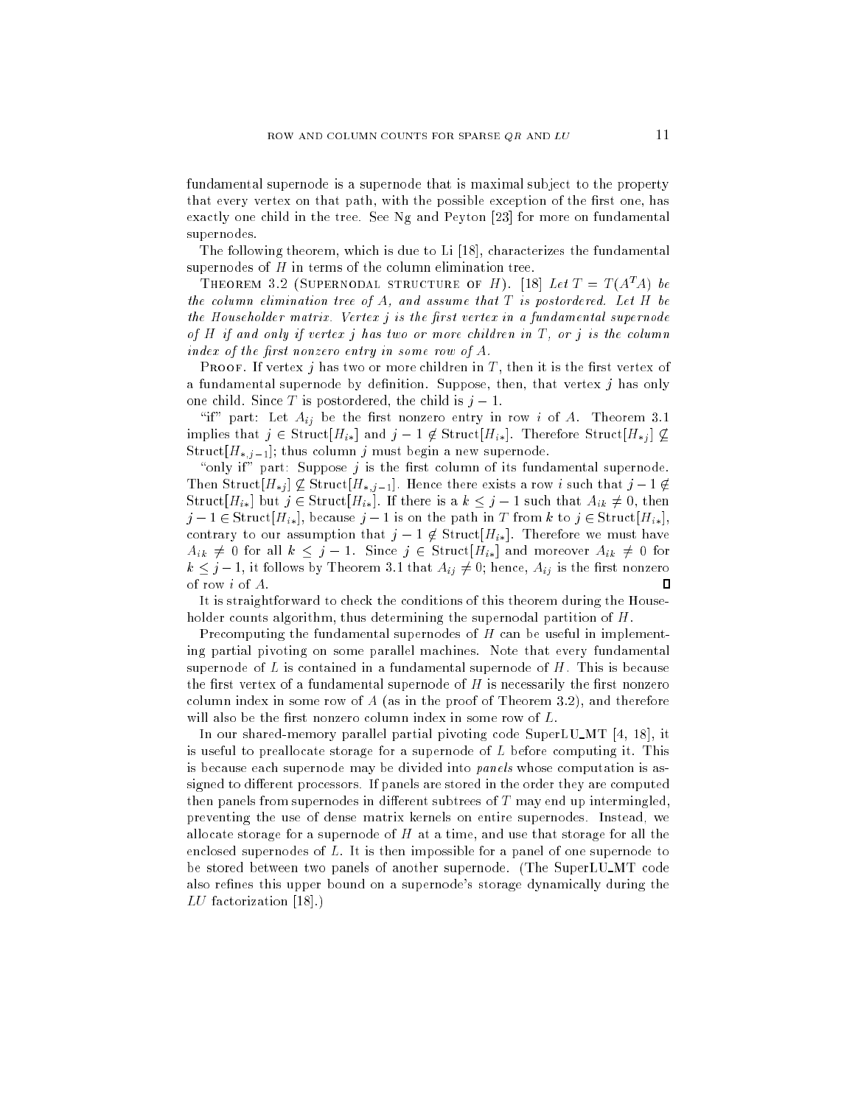fundamental supernode is a supernode that is maximal subject to the property that every vertex on that path, with the possible exception of the first one, has exactly one child in the tree. See Ng and Peyton [23] for more on fundamental supernodes.

The following theorem, which is due to Li  $[18]$ , characterizes the fundamental supernodes of  $H$  in terms of the column elimination tree.

THEOREM 3.2 (SUPERNODAL STRUCTURE OF H). [18] Let  $T = T(A^T A)$  be the column elimination tree of  $A$ , and assume that  $T$  is postordered. Let  $H$  be the Householder matrix. Vertex  $j$  is the first vertex in a fundamental supernode of H if and only if vertex j has two or more 
hildren in T , or j is the 
olumn index of the first nonzero entry in some row of  $A$ .

PROOF. If vertex  $j$  has two or more children in  $T$ , then it is the first vertex of a fundamental supernode by definition. Suppose, then, that vertex  $j$  has only one child. Since T is postordered, the child is  $j-1$ .

"if" part: Let  $A_{ij}$  be the first nonzero entry in row i of A. Theorem 3.1 implies that  $j \in \text{Struct}[H_{i*}]$  and  $j - 1 \notin \text{Struct}[H_{i*}]$ . Therefore  $\text{Struct}[H_{*j}] \nsubseteq$ Struct $[H_{*,j-1}]$ ; thus column j must begin a new supernode.

"only if" part: Suppose  $j$  is the first column of its fundamental supernode. Then Struct $[H_{*j}] \nsubseteq$  Struct $[H_{*,j-1}]$ . Hence there exists a row i such that  $j-1 \notin$ Struct $[H_{i*}]$  but  $j \in \text{Struct}[H_{i*}]$ . If there is a  $k \leq j-1$  such that  $A_{ik} \neq 0$ , then  $j-1 \in \text{Struct}[H_{i*}],$  because  $j-1$  is on the path in T from k to  $j \in \text{Struct}[H_{i*}],$ contrary to our assumption that  $j-1 \notin \text{Struct}[H_{i*}]$ . Therefore we must have  $A_{ik} \neq 0$  for all  $k \leq j - 1$ . Since  $j \in \text{Struct}[H_{ik}]$  and moreover  $A_{ik} \neq 0$  for  $k \leq j-1$ , it follows by Theorem 3.1 that  $A_{ij} \neq 0$ ; hence,  $A_{ij}$  is the first nonzero of row i of A.  $\Box$ 

It is straightforward to check the conditions of this theorem during the Householder counts algorithm, thus determining the supernodal partition of H.

Precomputing the fundamental supernodes of H can be useful in implementing partial pivoting on some parallel ma
hines. Note that every fundamental supernode of  $L$  is contained in a fundamental supernode of  $H$ . This is because the first vertex of a fundamental supernode of  $H$  is necessarily the first nonzero column index in some row of  $A$  (as in the proof of Theorem 3.2), and therefore will also be the first nonzero column index in some row of  $L$ .

In our shared-memory parallel partial pivoting code SuperLU\_MT  $[4, 18]$ , it is useful to preallocate storage for a supernode of  $L$  before computing it. This is because each supernode may be divided into panels whose computation is assigned to different processors. If panels are stored in the order they are computed then panels from supernodes in different subtrees of  $T$  may end up intermingled, preventing the use of dense matrix kernels on entire supernodes. Instead, we allocate storage for a supernode of  $H$  at a time, and use that storage for all the enclosed supernodes of L. It is then impossible for a panel of one supernode to be stored between two panels of another supernode. (The SuperLU\_MT code also refines this upper bound on a supernode's storage dynamically during the  $LU$  factorization [18].)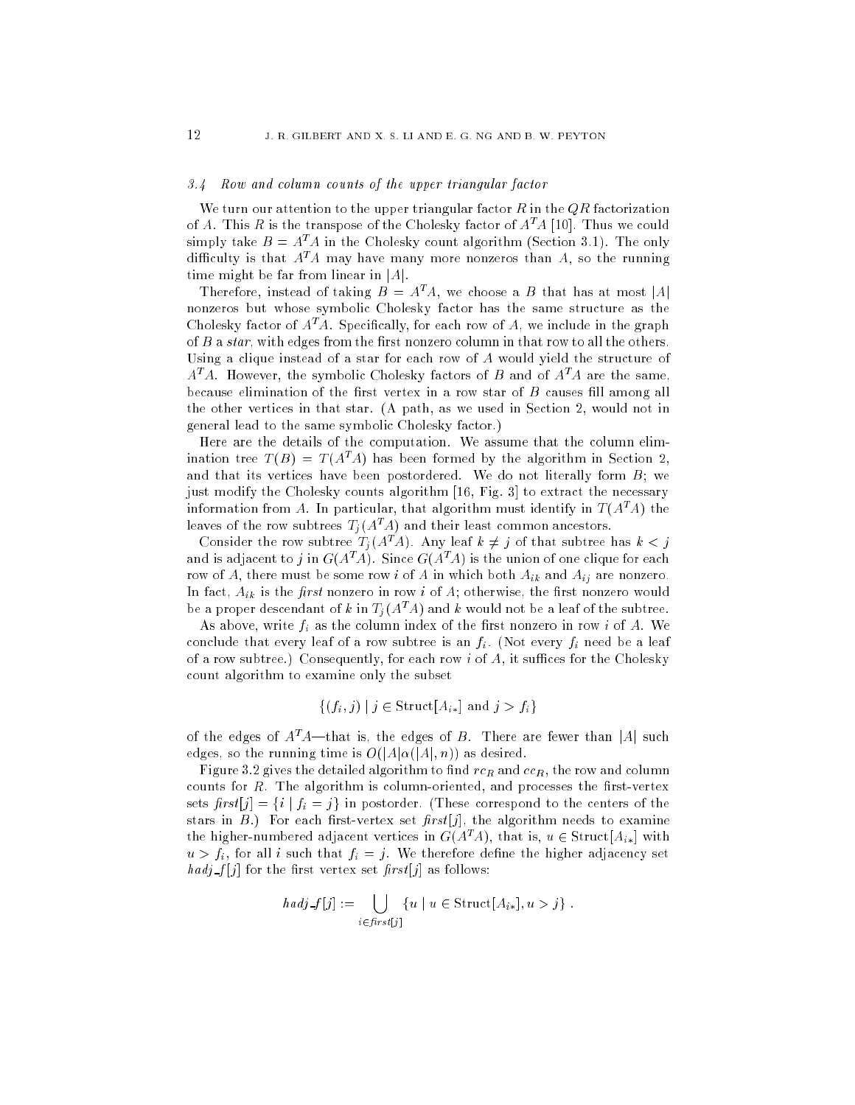# 3.4 Row and column counts of the upper triangular factor

We turn our attention to the upper triangular factor  $R$  in the  $QR$  factorization of A. This R is the transpose of the Cholesky factor of  $A<sup>T</sup>A$  [10]. Thus we could simply take  $B = A^T A$  in the Cholesky count algorithm (Section 3.1). The only difficulty is that  $A<sup>T</sup>A$  may have many more nonzeros than A, so the running time might be far from linear in  $|A|$ .

Therefore, instead of taking  $B = A<sup>T</sup>A$ , we choose a B that has at most |A| nonzeros but whose symbolic Cholesky factor has the same structure as the Cholesky factor of  $A<sup>T</sup>A$ . Specifically, for each row of A, we include in the graph of  $B$  a star, with edges from the first nonzero column in that row to all the others. Using a clique instead of a star for each row of A would yield the structure of  $A<sup>T</sup>A$ . However, the symbolic Cholesky factors of B and of  $A<sup>T</sup>A$  are the same, because elimination of the first vertex in a row star of  $B$  causes fill among all the other verti
es in that star. (A path, as we used in Se
tion 2, would not in general lead to the same symbolic Cholesky factor.)

Here are the details of the omputation. We assume that the olumn elimination tree  $T(B) = T(A^T A)$  has been formed by the algorithm in Section 2, and that its vertices have been postordered. We do not literally form  $B$ ; we just modify the Cholesky counts algorithm [16, Fig. 3] to extract the necessary information from A. In particular, that algorithm must identify in  $T(A^T A)$  the leaves of the row subtrees  $T_i(A^T A)$  and their least common ancestors.

Consider the row subtree  $T_j(A^T A)$ . Any leaf  $k \neq j$  of that subtree has  $k < j$ and is adjacent to j in  $G(A^T A)$ . Since  $G(A^T A)$  is the union of one clique for each row of A, there must be some row i of A in which both  $A_{ik}$  and  $A_{ij}$  are nonzero. In fact,  $A_{ik}$  is the *first* nonzero in row *i* of  $A$ ; otherwise, the first nonzero would be a proper descendant of k in  $T_j(A^T A)$  and k would not be a leaf of the subtree.

As above, write  $f_i$  as the column index of the first nonzero in row i of A. We conclude that every leaf of a row subtree is an  $f_i$ . (Not every  $f_i$  need be a leaf of a row subtree.) Consequently, for each row  $i$  of  $A$ , it suffices for the Cholesky ount algorithm to examine only the subset

$$
\{(f_i, j) \mid j \in \text{Struct}[A_{i*}] \text{ and } j > f_i\}
$$

of the edges of  $A<sup>T</sup>A$ —that is, the edges of B. There are fewer than |A| such edges, so the running time is  $O(|A|\alpha(|A|, n))$  as desired.

Figure 3.2 gives the detailed algorithm to find  $rc_R$  and  $cc_R$ , the row and column counts for  $R$ . The algorithm is column-oriented, and processes the first-vertex sets  $first[j] = \{i \mid f_i = j\}$  in postorder. (These correspond to the centers of the stars in  $B$ .) For each first-vertex set  $first[j]$ , the algorithm needs to examine the higher-numbered adjacent vertices in  $G(A<sup>T</sup>A)$ , that is,  $u \in \text{Struct}[A_{i*}]$  with  $u > f_i$ , for all i such that  $f_i = j$ . We therefore define the higher adjacency set  $\hat{h} \, adj \, f[j]$  for the first vertex set  $\hat{f} \, irst[j]$  as follows:

$$
hadj \text{ } \mathcal{J}[j] := \bigcup_{i \in \text{first}[j]} \{u \mid u \in \text{Struct}[A_{i*}], u > j\} .
$$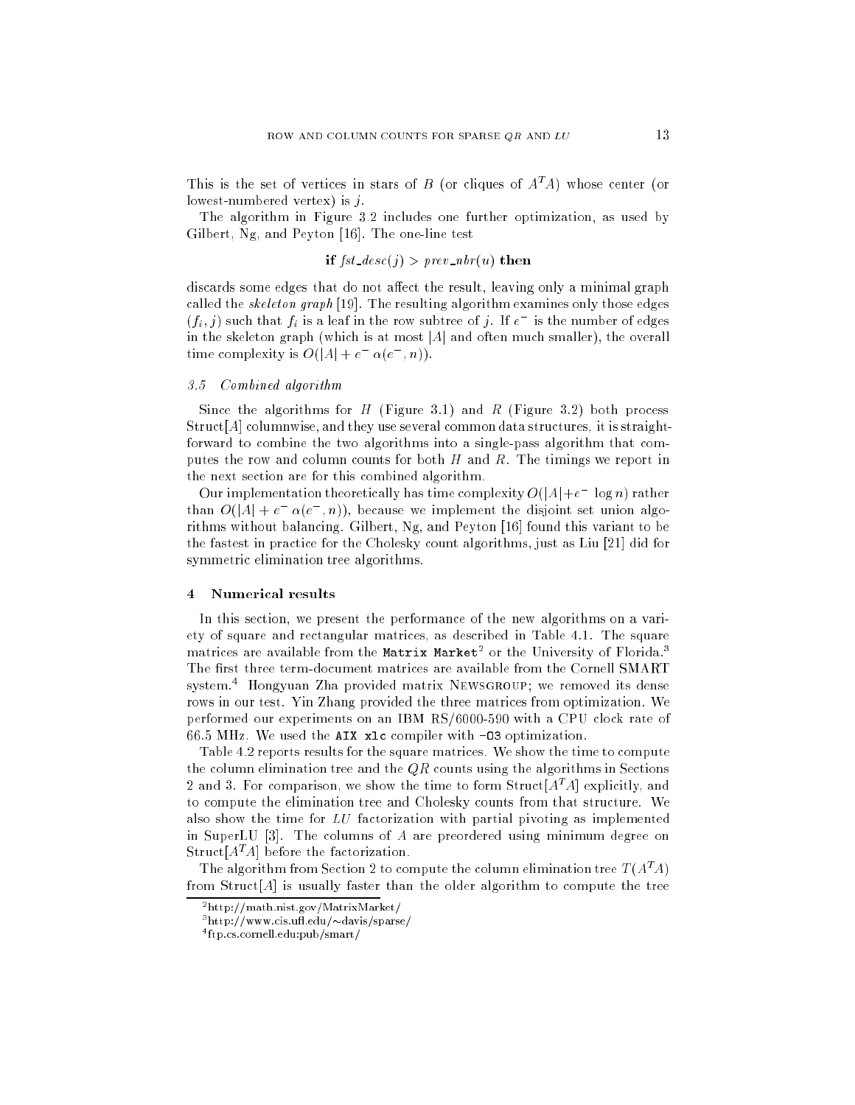This is the set of vertices in stars of B (or cliques of  $A<sup>T</sup>A$ ) whose center (or lowest-numbered vertex) is  $j$ .

The algorithm in Figure 3.2 in
ludes one further optimization, as used by Gilbert, Ng, and Peyton  $[16]$ . The one-line test

# if  $fst\_{desc}(j) > prev\_nbr(u)$  then

discards some edges that do not affect the result, leaving only a minimal graph called the skeleton graph  $[19]$ . The resulting algorithm examines only those edges  $(f_i, j)$  such that  $f_i$  is a leaf in the row subtree of j. If  $e^-$  is the number of edges in the skeleton graph (which is at most  $|A|$  and often much smaller), the overall time complexity is  $O(|A| + e^{-\alpha(e^{-}, n)})$ .

# 3.5 Combined algorithm

Since the algorithms for  $H$  (Figure 3.1) and  $R$  (Figure 3.2) both process  $Struct[A]$  columnwise, and they use several common data structures, it is straightforward to combine the two algorithms into a single-pass algorithm that computes the row and column counts for both  $H$  and  $R$ . The timings we report in the next se
tion are for this 
ombined algorithm.

Our implementation theoretically has time complexity  $O(|A|+e^- \log n)$  rather than  $O(|A| + e^- \alpha(e^-, n))$ , because we implement the disjoint set union algorithms without balancing. Gilbert,  $Ng$ , and Peyton [16] found this variant to be the fastest in practice for the Cholesky count algorithms, just as Liu [21] did for symmetric elimination tree algorithms.

### $\overline{4}$ Numerical results

In this section, we present the performance of the new algorithms on a variety of square and rectangular matrices, as described in Table 4.1. The square matrices are available from the Matrix Market<sup>2</sup> or the University of Florida.<sup>3</sup> The first three term-document matrices are available from the Cornell SMART system.4 Hongyuan Zha provided matrix Newsgroup; we removed its dense rows in our test. Yin Zhang provided the three matri
es from optimization. We performed our experiments on an IBM RS/6000-590 with a CPU clock rate of 66.5 MHz. We used the AIX xlc compiler with -03 optimization.

Table 4.2 reports results for the square matrices. We show the time to compute the column elimination tree and the  $QR$  counts using the algorithms in Sections 2 and 3. For comparison, we show the time to form Struct  $[A<sup>T</sup>A]$  explicitly, and to compute the elimination tree and Cholesky counts from that structure. We also show the time for  $LU$  factorization with partial pivoting as implemented in SuperLU  $[3]$ . The columns of A are preordered using minimum degree on Struct  $[A<sup>T</sup>A]$  before the factorization.

The algorithm from Section 2 to compute the column elimination tree  $T(A^T A)$ from Struct [A] is usually faster than the older algorithm to compute the tree

<sup>2</sup> http://math.nist.gov/MatrixMarket/

<sup>−</sup>nttp://www.cis.un.edu/∾davis/sparse/

<sup>4</sup> ftp.
s.
ornell.edu:pub/smart/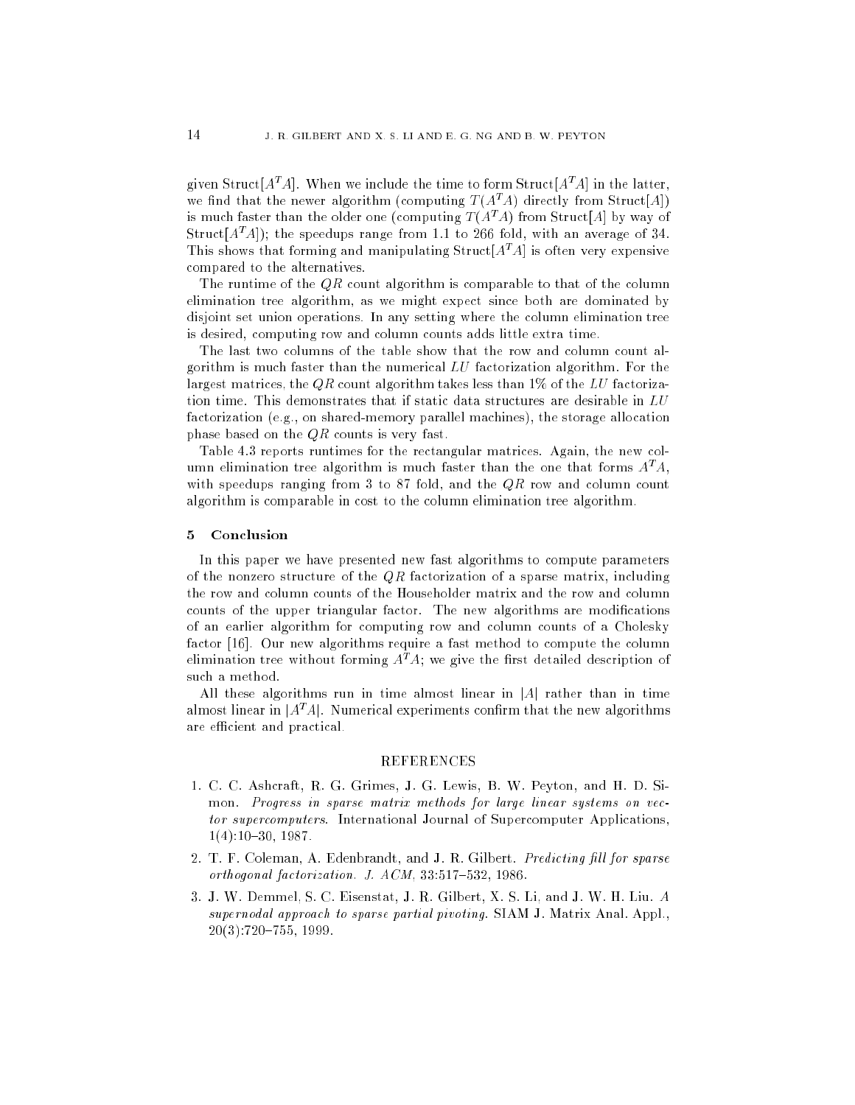given Struct $[A^T A]$ . When we include the time to form Struct $[A^T A]$  in the latter. we find that the newer algorithm (computing  $T(A^T A)$  directly from Struct[A]) is much faster than the older one (computing  $T(A^T A)$  from Struct[A] by way of Struct[ $A<sup>T</sup>A$ ]); the speedups range from 1.1 to 266 fold, with an average of 34. This shows that forming and manipulating  $Struct[A<sup>T</sup>A]$  is often very expensive ompared to the alternatives.

The runtime of the  $QR$  count algorithm is comparable to that of the column elimination tree algorithm, as we might expe
t sin
e both are dominated by disjoint set union operations. In any setting where the 
olumn elimination tree is desired, 
omputing row and 
olumn 
ounts adds little extra time.

The last two columns of the table show that the row and column count algorithm is mu
h faster than the numeri
al LU fa
torization algorithm. For the largest matrices, the QR count algorithm takes less than  $1\%$  of the LU factorization time. This demonstrates that if static data structures are desirable in  $LU$ factorization (e.g., on shared-memory parallel machines), the storage allocation phase based on the  $QR$  counts is very fast.

Table 4.3 reports runtimes for the rectangular matrices. Again, the new column elimination tree algorithm is much faster than the one that forms  $A^T A$ , with speedups ranging from 3 to 87 fold, and the  $QR$  row and column count algorithm is 
omparable in 
ost to the 
olumn elimination tree algorithm.

# 5 Con
lusion

In this paper we have presented new fast algorithms to 
ompute parameters of the nonzero structure of the  $QR$  factorization of a sparse matrix, including the row and column counts of the Householder matrix and the row and column counts of the upper triangular factor. The new algorithms are modifications of an earlier algorithm for computing row and column counts of a Cholesky factor [16]. Our new algorithms require a fast method to compute the column elimination tree without forming  $A<sup>T</sup>A$ ; we give the first detailed description of su
h a method.

All these algorithms run in time almost linear in  $|A|$  rather than in time almost linear in  $|A^T A|$ . Numerical experiments confirm that the new algorithms are efficient and practical.

# REFERENCES

- 1. C. C. Ash
raft, R. G. Grimes, J. G. Lewis, B. W. Peyton, and H. D. Simon. Progress in sparse matrix methods for large linear systems on vector supercomputers. International Journal of Supercomputer Applications,  $1(4):10-30, 1987.$
- 2. T. F. Coleman, A. Edenbrandt, and J. R. Gilbert. *Predicting fill for sparse* orthogonal factorization. J.  $ACM$ ,  $33:517-532$ ,  $1986$ .
- 3. J. W. Demmel, S. C. Eisenstat, J. R. Gilbert, X. S. Li, and J. W. H. Liu. A supernodal approach to sparse partial pivoting. SIAM J. Matrix Anal. Appl.,  $20(3):720-755, 1999.$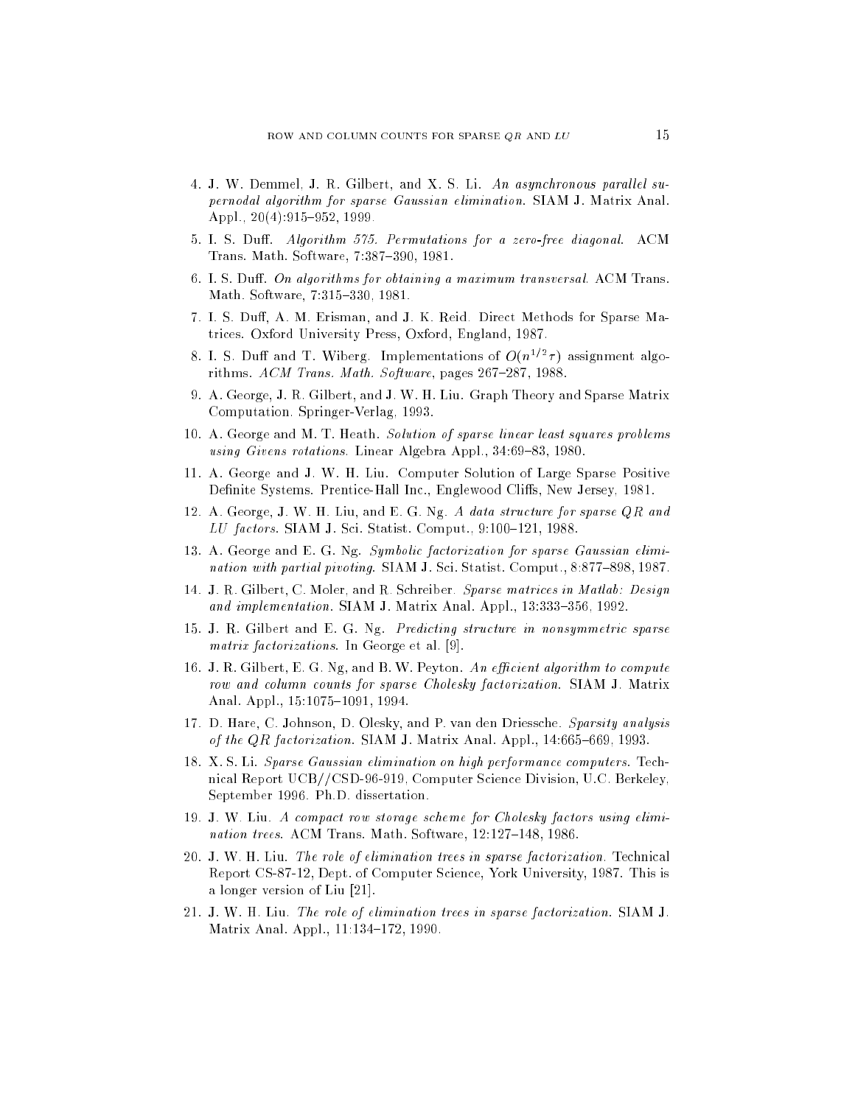- 4. J. W. Demmel, J. R. Gilbert, and X. S. Li. An asynchronous parallel supernodal algorithm for sparse Gaussian elimination. SIAM J. Matrix Anal. Appl.,  $20(4):915{-}952, 1999$ .
- 5. I. S. Duff. Algorithm 575. Permutations for a zero-free diagonal. ACM Trans. Math. Software, 7:387-390, 1981.
- 6. I. S. Duff. On algorithms for obtaining a maximum transversal. ACM Trans. Math. Software, 7:315-330, 1981.
- 7. I. S. Duff, A. M. Erisman, and J. K. Reid. Direct Methods for Sparse Matri
es. Oxford University Press, Oxford, England, 1987.
- 8. I. S. Duff and T. Wiberg. Implementations of  $O(n^{1/2}\tau)$  assignment algorithms.  $ACM$  Trans. Math. Software, pages 267-287, 1988.
- 9. A. George, J. R. Gilbert, and J. W. H. Liu. Graph Theory and Sparse Matrix Computation. Springer-Verlag, 1993.
- 10. A. George and M. T. Heath. Solution of sparse linear least squares problems using Givens rotations. Linear Algebra Appl., 34:69-83, 1980.
- 11. A. George and J. W. H. Liu. Computer Solution of Large Sparse Positive Definite Systems. Prentice-Hall Inc., Englewood Cliffs, New Jersey, 1981.
- 12. A. George, J. W. H. Liu, and E. G. Ng. A data structure for sparse QR and LU factors. SIAM J. Sci. Statist. Comput., 9:100-121, 1988.
- 13. A. George and E. G. Ng. Symbolic factorization for sparse Gaussian elimination with partial pivoting. SIAM J. Sci. Statist. Comput., 8:877-898, 1987.
- 14. J. R. Gilbert, C. Moler, and R. Schreiber. Sparse matrices in Matlab: Design and implementation. SIAM J. Matrix Anal. Appl., 13:333-356, 1992.
- 15. J. R. Gilbert and E. G. Ng. Predicting structure in nonsymmetric sparse  $matrix factorizations$ . In George et al. [9].
- 16. J. R. Gilbert, E. G. Ng, and B. W. Peyton. An efficient algorithm to compute row and column counts for sparse Cholesky factorization. SIAM J. Matrix Anal. Appl., 15:1075-1091, 1994.
- 17. D. Hare, C. Johnson, D. Olesky, and P. van den Driess
he. Sparsity analysis of the  $QR$  factorization. SIAM J. Matrix Anal. Appl.,  $14:665-669$ ,  $1993$ .
- 18. X. S. Li. Sparse Gaussian elimination on high performance computers. Technical Report UCB//CSD-96-919, Computer Science Division, U.C. Berkeley, September 1996. Ph.D. dissertation.
- 19. J. W. Liu. A compact row storage scheme for Cholesky factors using elimination trees. ACM Trans. Math. Software,  $12:127{-}148$ , 1986.
- 20. J. W. H. Liu. The role of elimination trees in sparse factorization. Technical Report CS-87-12, Dept. of Computer S
ien
e, York University, 1987. This is a longer version of Liu  $[21]$ .
- 21. J. W. H. Liu. The role of elimination trees in sparse factorization. SIAM J. Matrix Anal. Appl., 11:134-172, 1990.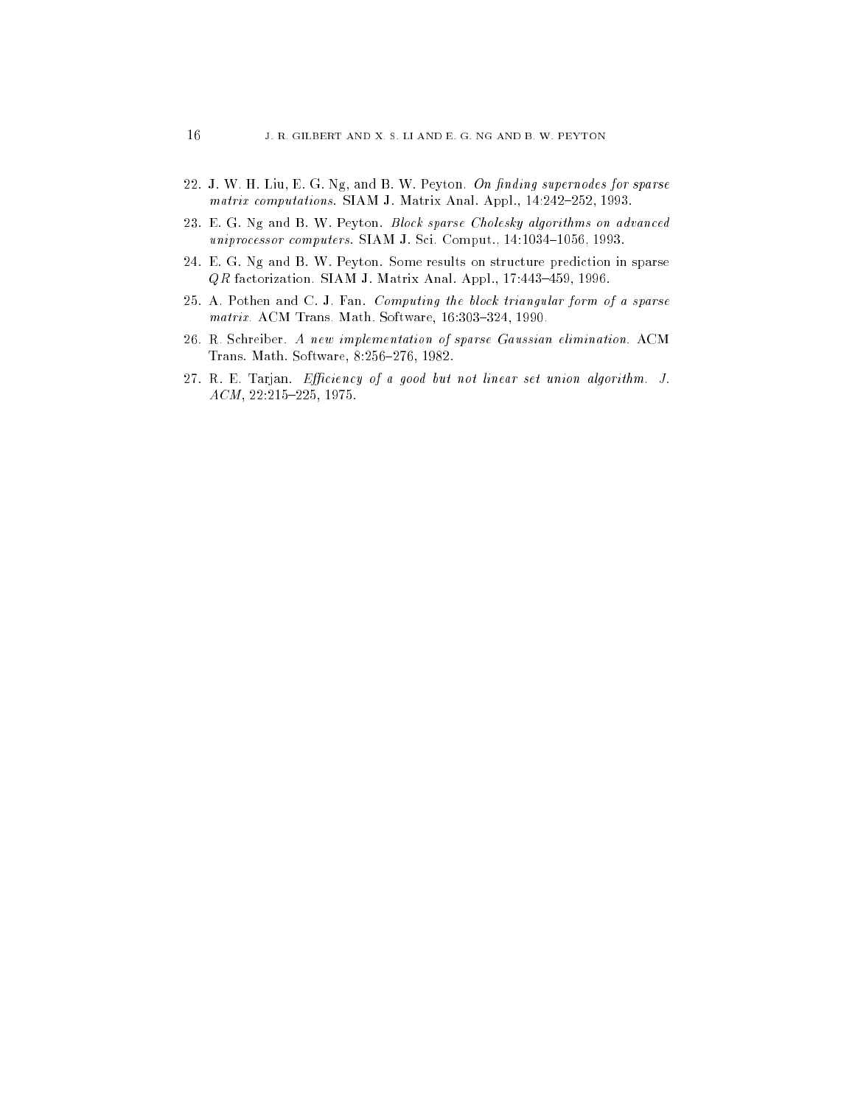- 22. J. W. H. Liu, E. G. Ng, and B. W. Peyton. On finding supernodes for sparse matrix computations. SIAM J. Matrix Anal. Appl., 14:242-252, 1993.
- 23. E. G. Ng and B. W. Peyton. Block sparse Cholesky algorithms on advanced uniprocessor computers. SIAM J. Sci. Comput., 14:1034-1056, 1993.
- 24. E. G. Ng and B. W. Peyton. Some results on stru
ture predi
tion in sparse  $QR$  factorization. SIAM J. Matrix Anal. Appl., 17:443-459, 1996.
- 25. A. Pothen and C. J. Fan. Computing the blo
k triangular form of a sparse matrix. ACM Trans. Math. Software,  $16:303-324$ , 1990.
- 26. R. S
hreiber. A new implementation of sparse Gaussian elimination. ACM Trans. Math. Software, 8:256-276, 1982.
- 27. R. E. Tarjan. Efficiency of a good but not linear set union algorithm. J.  $ACM$ , 22:215-225, 1975.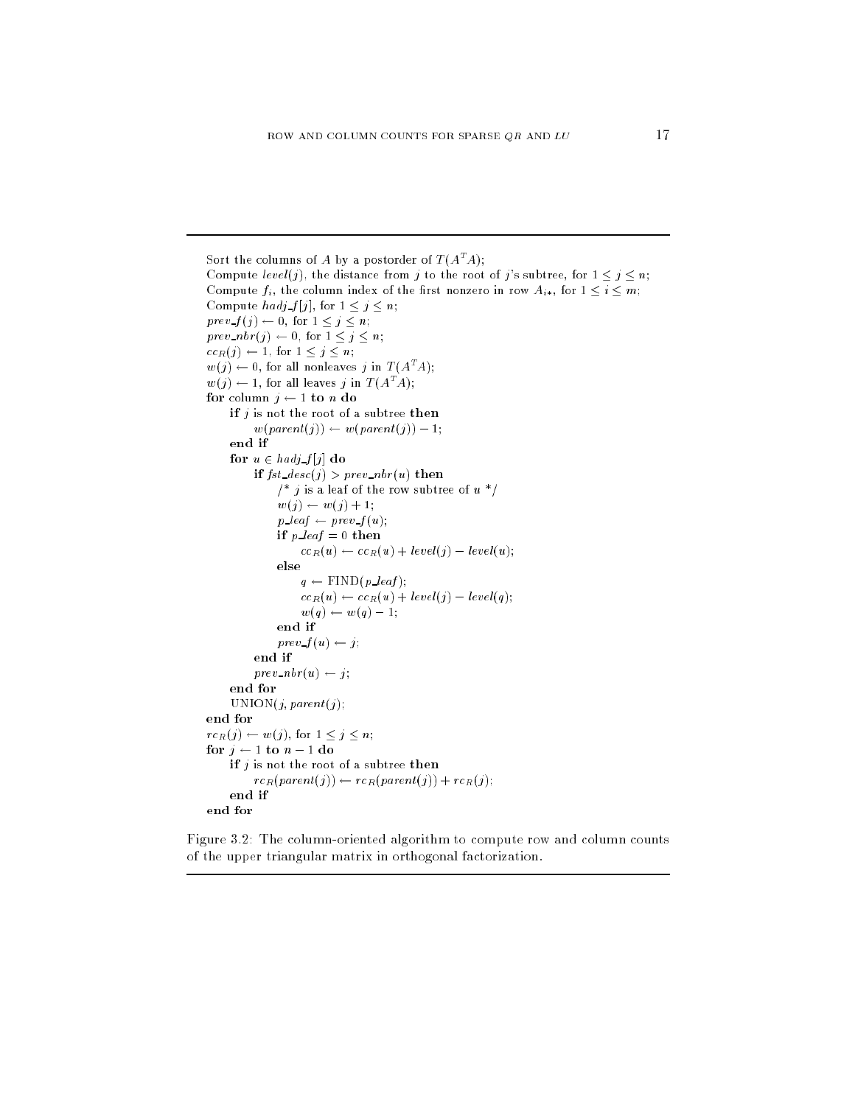```
Sort the columns of A by a postorder of T(A^*A):
Compute level(j), the distance from j to the root of j's subtree, for 1 \le j \le n;
Compute f_i, the column index of the first nonzero in row A_{i*}, for 1 \leq i \leq m;
Compute \text{hadj } f[j], for 1 \leq j \leq n;
prev\_f(j) \leftarrow 0, \text{ for } 1 \leq j \leq n;prev\_nbr(j) \leftarrow 0, \text{ for } 1 \leq j \leq n;cc_R(j) \leftarrow 1, for 1 \leq j \leq n;
w(j) \leftarrow 0, for all nonleaves j in T (A^T A);w(j) \leftarrow 1, for all leaves j in T (A^T A);for column j \leftarrow 1 to n do
    if j is not the root of a subtree then
          w(parent(j)) \leftarrow w(parent(j)) - 1;end if
     for u \in hadj\ f[j] do
          if fst\_desc(j) > prev\_nbr(u) then
               /* j is a leaf of the row subtree of u */
               w(j) \leftarrow w(j) + 1;p\mathit{\_}leaf \leftarrow prev\mathit{\_}f (u);if p\_{\text{leaf}} = 0 then
                     cc_R(u) \leftarrow cc_R(u) + level(j) - level(u);else
                    q \leftarrow \text{FIND}(p\_leaf);cc_R(u) \leftarrow cc_R(u) + level(j) - level(q);w(q) \leftarrow w(q) - 1;end if
               prev f(u) \leftarrow j;end if
          prev\_nbr(u) \leftarrow j;end for
     UNION(j, parent(j);end for
rc_R(j) \leftarrow w(j), for 1 \leq j \leq n;
for j \leftarrow 1 to n - 1 do
    if j is not the root of a subtree then
          rc_R(parent(j)) \leftarrow rc_R(parent(j)) + rc_R(j);end if
end for
```
Figure 3.2: The column-oriented algorithm to compute row and column counts of the upper triangular matrix in orthogonal fa
torization.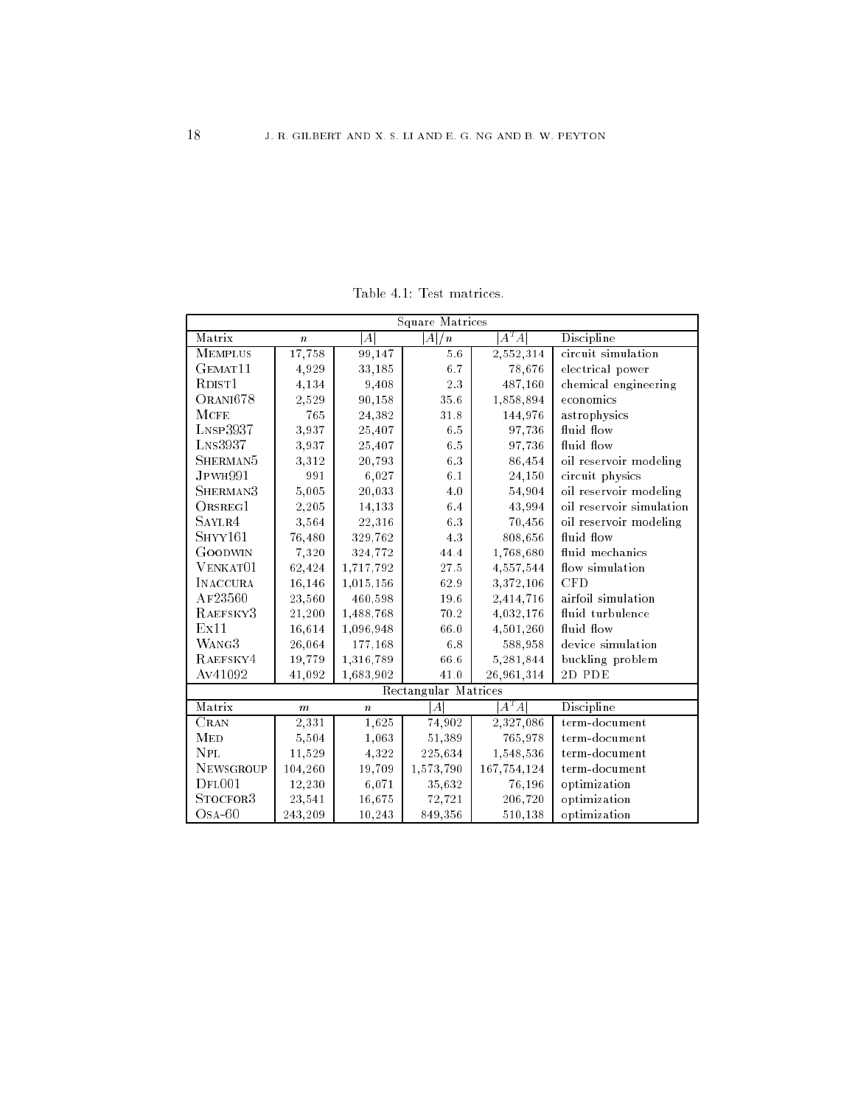Table 4.1: Test matri
es.

| <b>Square Matrices</b>               |                  |                  |                      |             |                          |  |  |
|--------------------------------------|------------------|------------------|----------------------|-------------|--------------------------|--|--|
| Matrix                               | $\boldsymbol{n}$ | А                | A <br>$\sqrt{n}$     | $A^T A$     | Discipline               |  |  |
| <b>MEMPLUS</b>                       | 17,758           | 99,147           | $5.6$                | 2,552,314   | circuit simulation       |  |  |
| GEMAT <sub>11</sub>                  | 4,929            | 33,185           | 6.7                  | 78,676      | electrical power         |  |  |
| R <sub>DIST</sub> 1                  | 4,134            | 9,408            | 2.3                  | 487,160     | chemical engineering     |  |  |
| ORANI678                             | 2,529            | 90,158           | 35.6                 | 1,858,894   | economics                |  |  |
| $M$ CFE                              | 765              | 24,382           | 31.8                 | 144,976     | astrophysics             |  |  |
| LNSP3937                             | 3,937            | 25,407           | $6.5\,$              | 97,736      | fluid flow               |  |  |
| $L_{NS}$ 3937                        | 3,937            | 25,407           | $6.5\,$              | 97,736      | fluid flow               |  |  |
| SHERMAN <sup>5</sup>                 | 3,312            | 20,793           | 6.3                  | 86,454      | oil reservoir modeling   |  |  |
| JPWH991                              | 991              | 6,027            | 6.1                  | 24,150      | circuit physics          |  |  |
| SHERMAN3                             | 5,005            | 20,033           | 4.0                  | 54,904      | oil reservoir modeling   |  |  |
| ORSREG1                              | 2,205            | 14,133           | 6.4                  | 43,994      | oil reservoir simulation |  |  |
| SAYLR4                               | 3,564            | 22,316           | 6.3                  | 70,456      | oil reservoir modeling   |  |  |
| S <sub>HYY161</sub>                  | 76,480           | 329,762          | 4.3                  | 808,656     | fluid flow               |  |  |
| GOODWIN                              | 7,320            | 324,772          | 44.4                 | 1,768,680   | fluid mechanics          |  |  |
| $V$ ENKAT $01$                       | 62,424           | 1,717,792        | 27.5                 | 4,557,544   | flow simulation          |  |  |
| <b>INACCURA</b>                      | 16,146           | 1,015,156        | 62.9                 | 3,372,106   | <b>CFD</b>               |  |  |
| AF23560                              | 23,560           | 460,598          | 19.6                 | 2,414,716   | airfoil simulation       |  |  |
| RAEFSKY3                             | 21,200           | 1,488,768        | $70.2\,$             | 4,032,176   | fluid turbulence         |  |  |
| Ex11                                 | 16,614           | 1,096,948        | $66.0\,$             | 4,501,260   | fluid flow               |  |  |
| WANG3                                | 26,064           | 177,168          | $6.8$                | 588,958     | device simulation        |  |  |
| RAEFSKY4                             | 19,779           | 1,316,789        | 66.6                 | 5,281,844   | buckling problem         |  |  |
| Av41092                              | 41,092           | 1,683,902        | $41.0\,$             | 26,961,314  | 2D PDE                   |  |  |
|                                      |                  |                  | Rectangular Matrices |             |                          |  |  |
| Matrix                               | $\boldsymbol{m}$ | $\boldsymbol{n}$ | $\boldsymbol{A}$     | $A^T A$     | Discipline               |  |  |
| $\overline{\text{Cra}}$ <sub>N</sub> | 2,331            | 1,625            | 74,902               | 2,327,086   | term-document            |  |  |
| <b>MED</b>                           | 5,504            | 1,063            | 51,389               | 765,978     | term-document            |  |  |
| <b>NPL</b>                           | 11,529           | 4,322            | 225,634              | 1,548,536   | term-document            |  |  |
| <b>NEWSGROUP</b>                     | 104,260          | 19,709           | 1,573,790            | 167,754,124 | term-document            |  |  |
| DFD001                               | 12,230           | 6,071            | 35,632               | 76,196      | optimization             |  |  |
| STOCFOR3                             | 23,541           | 16,675           | 72,721               | 206,720     | optimization             |  |  |
| $OSA-60$                             | 243,209          | 10,243           | 849,356              | 510,138     | optimization             |  |  |